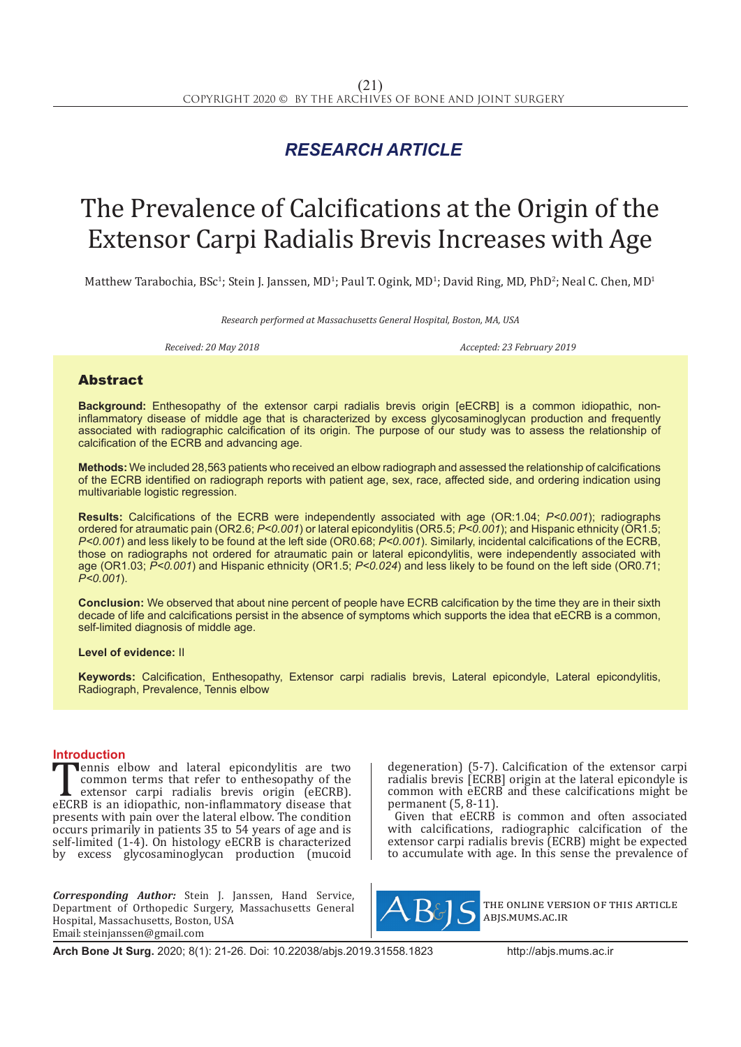## *RESEARCH ARTICLE*

# The Prevalence of Calcifications at the Origin of the Extensor Carpi Radialis Brevis Increases with Age

Matthew Tarabochia, BSc<sup>1</sup>; Stein J. Janssen, MD<sup>1</sup>; Paul T. Ogink, MD<sup>1</sup>; David Ring, MD, PhD<sup>2</sup>; Neal C. Chen, MD<sup>1</sup>

*Research performed at Massachusetts General Hospital, Boston, MA, USA*

*Received: 20 May 2018 Accepted: 23 February 2019*

### Abstract

**Background:** Enthesopathy of the extensor carpi radialis brevis origin [eECRB] is a common idiopathic, noninflammatory disease of middle age that is characterized by excess glycosaminoglycan production and frequently associated with radiographic calcification of its origin. The purpose of our study was to assess the relationship of calcification of the ECRB and advancing age.

**Methods:** We included 28,563 patients who received an elbow radiograph and assessed the relationship of calcifications of the ECRB identified on radiograph reports with patient age, sex, race, affected side, and ordering indication using multivariable logistic regression.

**Results:** Calcifications of the ECRB were independently associated with age (OR:1.04; *P<0.001*); radiographs ordered for atraumatic pain (OR2.6; *P<0.001*) or lateral epicondylitis (OR5.5; *P<0.001*); and Hispanic ethnicity (OR1.5; *P<0.001*) and less likely to be found at the left side (OR0.68; *P<0.001*). Similarly, incidental calcifications of the ECRB, those on radiographs not ordered for atraumatic pain or lateral epicondylitis, were independently associated with age (OR1.03; *P<0.001*) and Hispanic ethnicity (OR1.5; *P<0.024*) and less likely to be found on the left side (OR0.71; *P<0.001*).

**Conclusion:** We observed that about nine percent of people have ECRB calcification by the time they are in their sixth decade of life and calcifications persist in the absence of symptoms which supports the idea that eECRB is a common, self-limited diagnosis of middle age.

**Level of evidence:** II

**Keywords:** Calcification, Enthesopathy, Extensor carpi radialis brevis, Lateral epicondyle, Lateral epicondylitis, Radiograph, Prevalence, Tennis elbow

**Introduction**<br>**Theory** elbow and lateral epicondylitis are two **EXECRB** is an idiopathic, non-inflammatory disease that the extensor carpi radialis brevis origin (eECRB).<br>
eECRB is an idiopathic, non-inflammatory disease that presents with pain over the lateral elbow. The condition common terms that refer to enthesopathy of the extensor carpi radialis brevis origin (eECRB). presents with pain over the lateral elbow. The condition occurs primarily in patients 35 to 54 years of age and is self-limited  $(1-4)$ . On histology eECRB is characterized by excess glycosaminoglycan production (mucoid

*Corresponding Author:* Stein J. Janssen, Hand Service, Department of Orthopedic Surgery, Massachusetts General Hospital, Massachusetts, Boston, USA Email: steinjanssen@gmail.com

degeneration) (5-7). Calcification of the extensor carpi radialis brevis [ECRB] origin at the lateral epicondyle is common with eECRB and these calcifications might be permanent (5, 8-11).

Given that eECRB is common and often associated with calcifications, radiographic calcification of the extensor carpi radialis brevis (ECRB) might be expected to accumulate with age. In this sense the prevalence of



the online version of this article abjs.mums.ac.ir

**Arch Bone Jt Surg.** 2020; 8(1): 21-26. Doi: 10.22038/abjs.2019.31558.1823 http://abjs.mums.ac.ir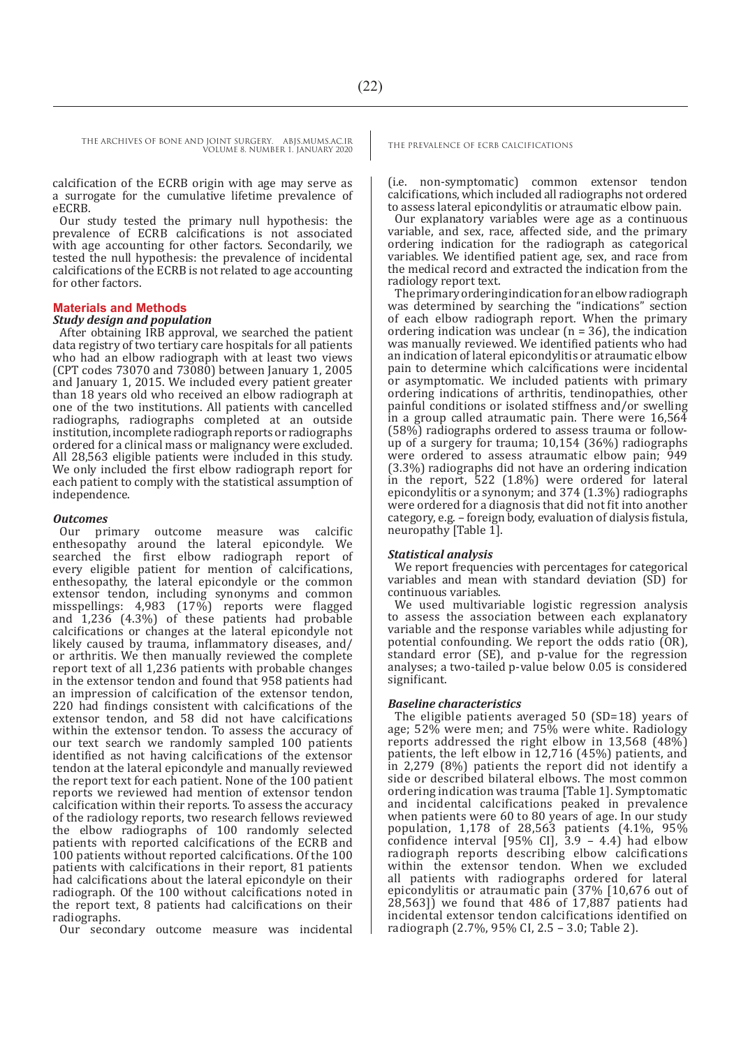calcification of the ECRB origin with age may serve as a surrogate for the cumulative lifetime prevalence of eECRB.

Our study tested the primary null hypothesis: the prevalence of ECRB calcifications is not associated with age accounting for other factors. Secondarily, we tested the null hypothesis: the prevalence of incidental calcifications of the ECRB is not related to age accounting for other factors.

#### **Materials and Methods**

#### *Study design and population*

After obtaining IRB approval, we searched the patient data registry of two tertiary care hospitals for all patients who had an elbow radiograph with at least two views (CPT codes 73070 and 73080) between January 1, 2005 and January 1, 2015. We included every patient greater than 18 years old who received an elbow radiograph at one of the two institutions. All patients with cancelled radiographs, radiographs completed at an outside institution, incomplete radiograph reports or radiographs ordered for a clinical mass or malignancy were excluded. All 28,563 eligible patients were included in this study. We only included the first elbow radiograph report for each patient to comply with the statistical assumption of independence.

#### *Outcomes*

Our primary outcome measure was calcific enthesopathy around the lateral epicondyle. We searched the first elbow radiograph report of every eligible patient for mention of calcifications, enthesopathy, the lateral epicondyle or the common extensor tendon, including synonyms and common misspellings: 4,983 (17%) reports were flagged and 1,236 (4.3%) of these patients had probable calcifications or changes at the lateral epicondyle not likely caused by trauma, inflammatory diseases, and/ or arthritis. We then manually reviewed the complete report text of all 1,236 patients with probable changes in the extensor tendon and found that 958 patients had an impression of calcification of the extensor tendon, 220 had findings consistent with calcifications of the extensor tendon, and 58 did not have calcifications within the extensor tendon. To assess the accuracy of our text search we randomly sampled 100 patients identified as not having calcifications of the extensor tendon at the lateral epicondyle and manually reviewed the report text for each patient. None of the 100 patient reports we reviewed had mention of extensor tendon calcification within their reports. To assess the accuracy of the radiology reports, two research fellows reviewed the elbow radiographs of 100 randomly selected patients with reported calcifications of the ECRB and 100 patients without reported calcifications. Of the 100 patients with calcifications in their report, 81 patients had calcifications about the lateral epicondyle on their radiograph. Of the 100 without calcifications noted in the report text, 8 patients had calcifications on their radiographs.

Our secondary outcome measure was incidental

(i.e. non-symptomatic) common extensor tendon calcifications, which included all radiographs not ordered to assess lateral epicondylitis or atraumatic elbow pain.

Our explanatory variables were age as a continuous variable, and sex, race, affected side, and the primary ordering indication for the radiograph as categorical variables. We identified patient age, sex, and race from the medical record and extracted the indication from the radiology report text.

The primary ordering indication for an elbow radiograph was determined by searching the "indications" section of each elbow radiograph report. When the primary ordering indication was unclear  $(n = 36)$ , the indication was manually reviewed. We identified patients who had an indication of lateral epicondylitis or atraumatic elbow pain to determine which calcifications were incidental or asymptomatic. We included patients with primary ordering indications of arthritis, tendinopathies, other painful conditions or isolated stiffness and/or swelling in a group called atraumatic pain. There were 16,564 (58%) radiographs ordered to assess trauma or followup of a surgery for trauma; 10,154 (36%) radiographs were ordered to assess atraumatic elbow pain; 949 (3.3%) radiographs did not have an ordering indication in the report, 522 (1.8%) were ordered for lateral epicondylitis or a synonym; and 374 (1.3%) radiographs were ordered for a diagnosis that did not fit into another category, e.g. – foreign body, evaluation of dialysis fistula, neuropathy [Table 1].

### *Statistical analysis*

We report frequencies with percentages for categorical variables and mean with standard deviation (SD) for continuous variables.

We used multivariable logistic regression analysis to assess the association between each explanatory variable and the response variables while adjusting for potential confounding. We report the odds ratio (OR), standard error (SE), and p-value for the regression analyses; a two-tailed p-value below 0.05 is considered significant.

### *Baseline characteristics*

The eligible patients averaged 50 (SD=18) years of age; 52% were men; and 75% were white. Radiology reports addressed the right elbow in 13,568 (48%) patients, the left elbow in 12,716 (45%) patients, and in 2,279 (8%) patients the report did not identify a side or described bilateral elbows. The most common ordering indication was trauma [Table 1]. Symptomatic and incidental calcifications peaked in prevalence when patients were 60 to 80 years of age. In our study population, 1,178 of 28,563 patients (4.1%, 95% confidence interval [95% CI], 3.9 – 4.4) had elbow radiograph reports describing elbow calcifications within the extensor tendon. When we excluded all patients with radiographs ordered for lateral epicondylitis or atraumatic pain (37% [10,676 out of  $28,563$ ]) we found that 486 of  $17,887$  patients had incidental extensor tendon calcifications identified on radiograph (2.7%, 95% CI, 2.5 – 3.0; Table 2).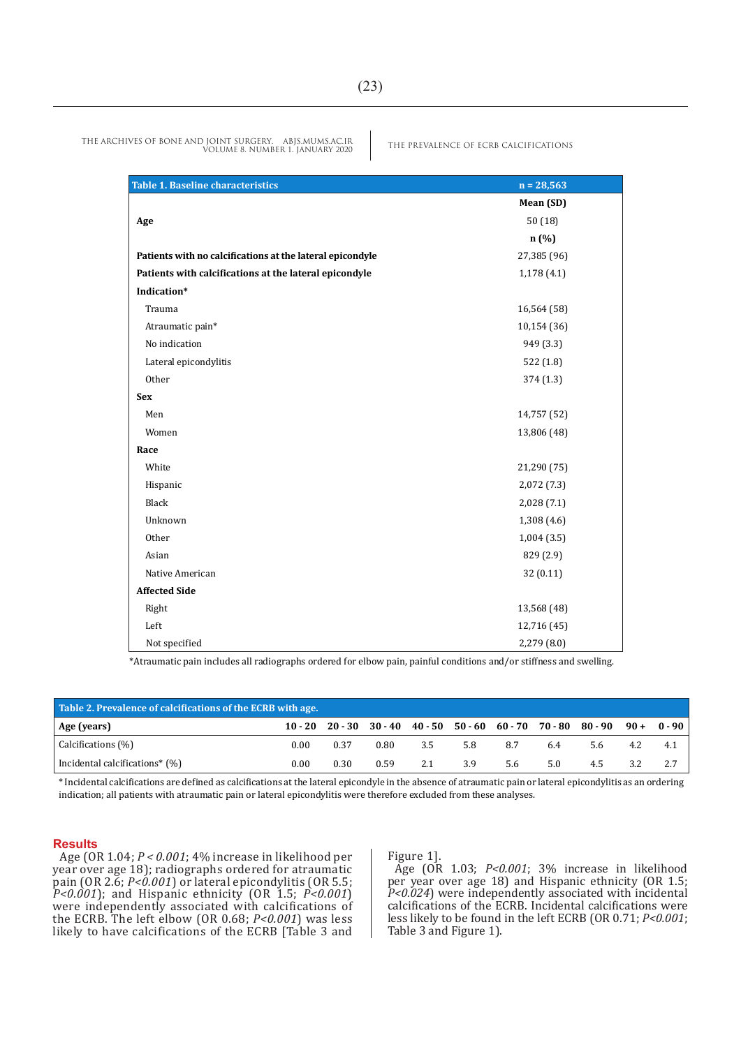| <b>Table 1. Baseline characteristics</b>                  | $n = 28,563$ |
|-----------------------------------------------------------|--------------|
|                                                           | Mean (SD)    |
| Age                                                       | 50(18)       |
|                                                           | n (%)        |
| Patients with no calcifications at the lateral epicondyle | 27,385 (96)  |
| Patients with calcifications at the lateral epicondyle    | 1,178(4.1)   |
| Indication*                                               |              |
| Trauma                                                    | 16,564 (58)  |
| Atraumatic pain*                                          | 10,154(36)   |
| No indication                                             | 949 (3.3)    |
| Lateral epicondylitis                                     | 522 (1.8)    |
| Other                                                     | 374 (1.3)    |
| <b>Sex</b>                                                |              |
| Men                                                       | 14,757 (52)  |
| Women                                                     | 13,806 (48)  |
| Race                                                      |              |
| White                                                     | 21,290 (75)  |
| Hispanic                                                  | 2,072(7.3)   |
| Black                                                     | 2,028 (7.1)  |
| Unknown                                                   | 1,308(4.6)   |
| Other                                                     | 1,004(3.5)   |
| Asian                                                     | 829 (2.9)    |
| Native American                                           | 32(0.11)     |
| <b>Affected Side</b>                                      |              |
| Right                                                     | 13,568 (48)  |
| Left                                                      | 12,716 (45)  |
| Not specified                                             | 2,279(8.0)   |

\*Atraumatic pain includes all radiographs ordered for elbow pain, painful conditions and/or stiffness and swelling.

| Table 2. Prevalence of calcifications of the ECRB with age. |           |      |      |     |     |                                                           |     |         |       |          |
|-------------------------------------------------------------|-----------|------|------|-----|-----|-----------------------------------------------------------|-----|---------|-------|----------|
| Age (years)                                                 | $10 - 20$ |      |      |     |     | 20 - 30 - 30 - 40 - 40 - 50 - 50 - 60 - 60 - 70 - 70 - 80 |     | 80 - 90 | $90+$ | $0 - 90$ |
| Calcifications (%)                                          | 0.00      | 0.37 | 0.80 | 3.5 | 5.8 | 8.7                                                       | 6.4 | 5.6     | 4.2   | 4.1      |
| Incidental calcifications* (%)                              | 0.00      | 0.30 | 0.59 | 2.1 | 3.9 | 5.6                                                       | 5.0 | 4.5     | 3.2   |          |

\* Incidental calcifications are defined as calcifications at the lateral epicondyle in the absence of atraumatic pain or lateral epicondylitis as an ordering indication; all patients with atraumatic pain or lateral epicondylitis were therefore excluded from these analyses.

#### **Results**

Age (OR 1.04; *P < 0.001*; 4% increase in likelihood per year over age 18); radiographs ordered for atraumatic pain (OR 2.6;  $P < 0.001$ ) or lateral epicondylitis (OR 5.5; *P<0.001*); and Hispanic ethnicity (OR 1.5; *P<0.001*) were independently associated with calcifications of the ECRB. The left elbow (OR 0.68; *P<0.001*) was less likely to have calcifications of the ECRB [Table 3 and

Figure 1].

Age (OR 1.03; *P<0.001*; 3% increase in likelihood per year over age 18) and Hispanic ethnicity (OR 1.5; *P<0.024*) were independently associated with incidental calcifications of the ECRB. Incidental calcifications were less likely to be found in the left ECRB (OR 0.71; *P<0.001*; Table 3 and Figure 1).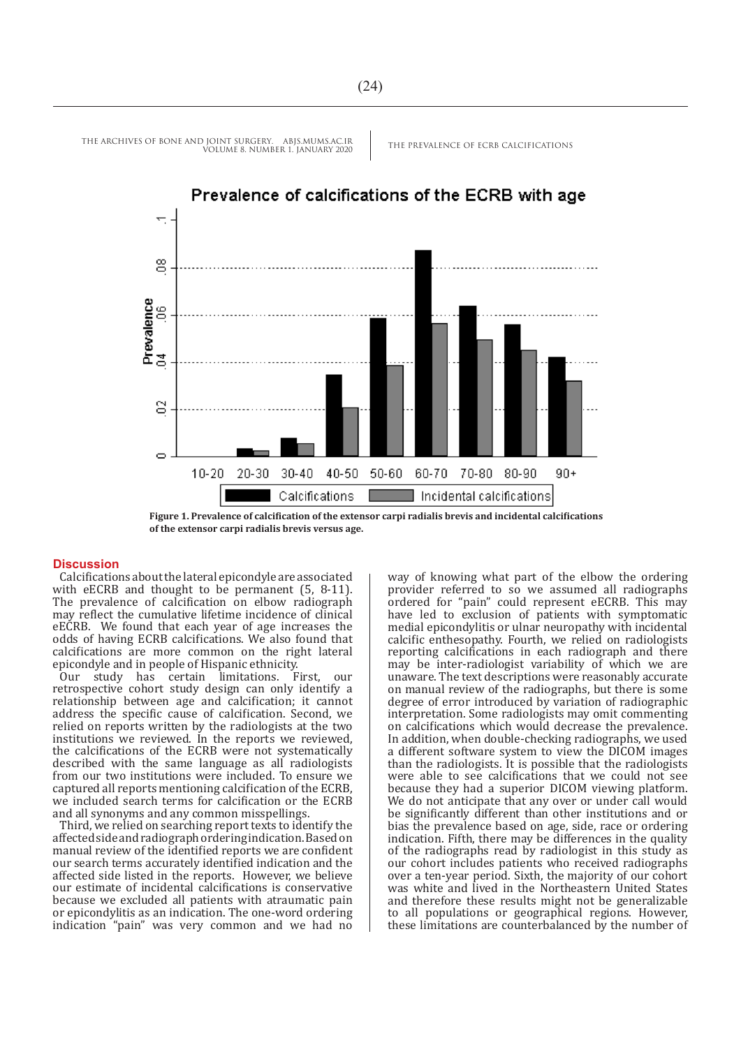

**Figure 1. Prevalence of calcification of the extensor carpi radialis brevis and incidental calcifications of the extensor carpi radialis brevis versus age.** 

#### **Discussion**

Calcifications about the lateral epicondyle are associated with eECRB and thought to be permanent (5, 8-11). The prevalence of calcification on elbow radiograph may reflect the cumulative lifetime incidence of clinical eECRB. We found that each year of age increases the odds of having ECRB calcifications. We also found that calcifications are more common on the right lateral epicondyle and in people of Hispanic ethnicity.

study has certain limitations. First, our retrospective cohort study design can only identify a relationship between age and calcification; it cannot address the specific cause of calcification. Second, we relied on reports written by the radiologists at the two institutions we reviewed. In the reports we reviewed, the calcifications of the ECRB were not systematically described with the same language as all radiologists from our two institutions were included. To ensure we captured all reports mentioning calcification of the ECRB, we included search terms for calcification or the ECRB and all synonyms and any common misspellings.

Third, we relied on searching report texts to identify the affected side and radiograph ordering indication. Based on manual review of the identified reports we are confident our search terms accurately identified indication and the affected side listed in the reports. However, we believe our estimate of incidental calcifications is conservative because we excluded all patients with atraumatic pain or epicondylitis as an indication. The one-word ordering indication "pain" was very common and we had no

way of knowing what part of the elbow the ordering provider referred to so we assumed all radiographs ordered for "pain" could represent eECRB. This may have led to exclusion of patients with symptomatic medial epicondylitis or ulnar neuropathy with incidental calcific enthesopathy. Fourth, we relied on radiologists reporting calcifications in each radiograph and there may be inter-radiologist variability of which we are unaware. The text descriptions were reasonably accurate on manual review of the radiographs, but there is some degree of error introduced by variation of radiographic interpretation. Some radiologists may omit commenting on calcifications which would decrease the prevalence. In addition, when double-checking radiographs, we used a different software system to view the DICOM images than the radiologists. It is possible that the radiologists were able to see calcifications that we could not see because they had a superior DICOM viewing platform. We do not anticipate that any over or under call would be significantly different than other institutions and or bias the prevalence based on age, side, race or ordering indication. Fifth, there may be differences in the quality of the radiographs read by radiologist in this study as our cohort includes patients who received radiographs over a ten-year period. Sixth, the majority of our cohort was white and lived in the Northeastern United States and therefore these results might not be generalizable to all populations or geographical regions. However, these limitations are counterbalanced by the number of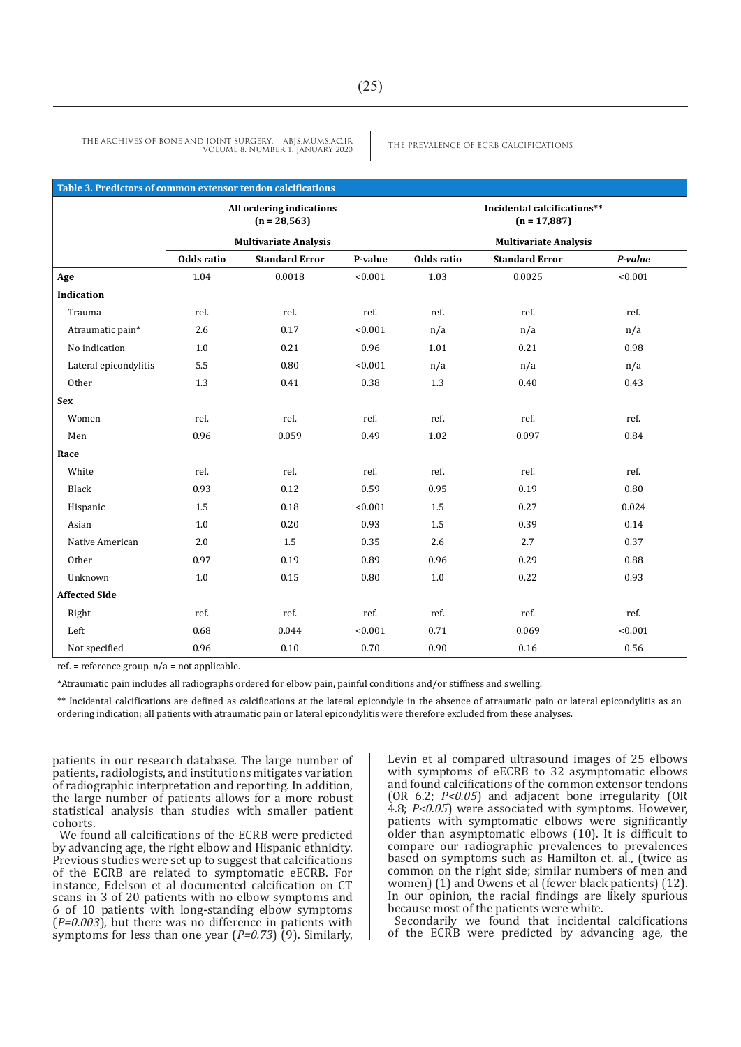| Table 3. Predictors of common extensor tendon calcifications |            |                                             |         |            |                                               |         |  |  |
|--------------------------------------------------------------|------------|---------------------------------------------|---------|------------|-----------------------------------------------|---------|--|--|
|                                                              |            | All ordering indications<br>$(n = 28, 563)$ |         |            | Incidental calcifications**<br>$(n = 17,887)$ |         |  |  |
|                                                              |            | <b>Multivariate Analysis</b>                |         |            | <b>Multivariate Analysis</b>                  |         |  |  |
|                                                              | Odds ratio | <b>Standard Error</b>                       | P-value | Odds ratio | <b>Standard Error</b>                         | P-value |  |  |
| Age                                                          | 1.04       | 0.0018                                      | < 0.001 | 1.03       | 0.0025                                        | < 0.001 |  |  |
| <b>Indication</b>                                            |            |                                             |         |            |                                               |         |  |  |
| Trauma                                                       | ref.       | ref.                                        | ref.    | ref.       | ref.                                          | ref.    |  |  |
| Atraumatic pain*                                             | 2.6        | 0.17                                        | < 0.001 | n/a        | n/a                                           | n/a     |  |  |
| No indication                                                | 1.0        | 0.21                                        | 0.96    | 1.01       | 0.21                                          | 0.98    |  |  |
| Lateral epicondylitis                                        | 5.5        | 0.80                                        | < 0.001 | n/a        | n/a                                           | n/a     |  |  |
| Other                                                        | 1.3        | 0.41                                        | 0.38    | 1.3        | 0.40                                          | 0.43    |  |  |
| <b>Sex</b>                                                   |            |                                             |         |            |                                               |         |  |  |
| Women                                                        | ref.       | ref.                                        | ref.    | ref.       | ref.                                          | ref.    |  |  |
| Men                                                          | 0.96       | 0.059                                       | 0.49    | 1.02       | 0.097                                         | 0.84    |  |  |
| Race                                                         |            |                                             |         |            |                                               |         |  |  |
| White                                                        | ref.       | ref.                                        | ref.    | ref.       | ref.                                          | ref.    |  |  |
| Black                                                        | 0.93       | 0.12                                        | 0.59    | 0.95       | 0.19                                          | 0.80    |  |  |
| Hispanic                                                     | 1.5        | 0.18                                        | < 0.001 | 1.5        | 0.27                                          | 0.024   |  |  |
| Asian                                                        | 1.0        | 0.20                                        | 0.93    | 1.5        | 0.39                                          | 0.14    |  |  |
| Native American                                              | 2.0        | 1.5                                         | 0.35    | 2.6        | 2.7                                           | 0.37    |  |  |
| Other                                                        | 0.97       | 0.19                                        | 0.89    | 0.96       | 0.29                                          | 0.88    |  |  |
| Unknown                                                      | 1.0        | 0.15                                        | 0.80    | 1.0        | 0.22                                          | 0.93    |  |  |
| <b>Affected Side</b>                                         |            |                                             |         |            |                                               |         |  |  |
| Right                                                        | ref.       | ref.                                        | ref.    | ref.       | ref.                                          | ref.    |  |  |
| Left                                                         | 0.68       | 0.044                                       | < 0.001 | 0.71       | 0.069                                         | < 0.001 |  |  |
| Not specified                                                | 0.96       | 0.10                                        | 0.70    | 0.90       | 0.16                                          | 0.56    |  |  |

ref. = reference group. n/a = not applicable.

\*Atraumatic pain includes all radiographs ordered for elbow pain, painful conditions and/or stiffness and swelling.

\*\* Incidental calcifications are defined as calcifications at the lateral epicondyle in the absence of atraumatic pain or lateral epicondylitis as an ordering indication; all patients with atraumatic pain or lateral epicondylitis were therefore excluded from these analyses.

patients in our research database. The large number of patients, radiologists, and institutions mitigates variation of radiographic interpretation and reporting. In addition, the large number of patients allows for a more robust statistical analysis than studies with smaller patient cohorts.

We found all calcifications of the ECRB were predicted by advancing age, the right elbow and Hispanic ethnicity. Previous studies were set up to suggest that calcifications of the ECRB are related to symptomatic eECRB. For instance, Edelson et al documented calcification on CT scans in 3 of 20 patients with no elbow symptoms and 6 of 10 patients with long-standing elbow symptoms (*P=0.003*), but there was no difference in patients with symptoms for less than one year (*P=0.73*) (9). Similarly, Levin et al compared ultrasound images of 25 elbows with symptoms of eECRB to 32 asymptomatic elbows and found calcifications of the common extensor tendons (OR 6.2; *P<0.05*) and adjacent bone irregularity (OR 4.8; *P<0.05*) were associated with symptoms. However, patients with symptomatic elbows were significantly older than asymptomatic elbows (10). It is difficult to compare our radiographic prevalences to prevalences based on symptoms such as Hamilton et. al., (twice as common on the right side; similar numbers of men and women) (1) and Owens et al (fewer black patients) (12). In our opinion, the racial findings are likely spurious because most of the patients were white.

Secondarily we found that incidental calcifications of the ECRB were predicted by advancing age, the